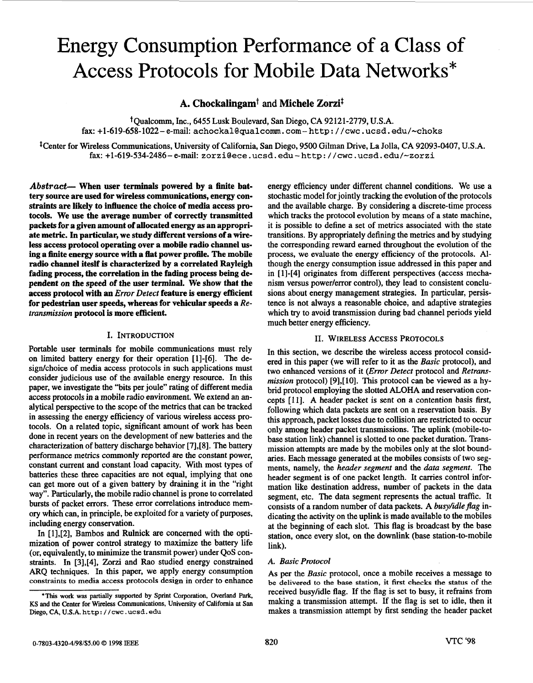# Energy Consumption Performance of a Class of Access Protocols for Mobile Data Networks\*

A. Chockalingam<sup>†</sup> and Michele Zorzi<sup>‡</sup>

tQualcomm, Inc., 6455 Lusk Boulevard, San Diego, CA 92121-2779, U.S.A. fax: +1-619-658-1022-e-mail: **achockal@qualcomm. com- http:** / **/cwc. ucsd. edu/-choks** 

\$Center for Wireless Communications, University of California, San Diego, 9500 Gilman Drive, La Jolla, CA 92093-0407, U.S.A. fax: +1-619-534-2486-e-mail: **zorzi@ece .ucsd.edu-http: //cwc .ucsd.edu/-zorzi** 

*Abstract-* **When user terminals powered by a finite battery source are used for wireless communications, energy constraints are likely to influence the choice of media access protocols. We use the average number of correctly transmitted packets for a given amount of allocated energy as an appropriate metric. In particular, we study different versions of a wireless access protocol operating over a mobile radio channel using a finite energy source with a flat power profile. The mobile radio channel iteslf is characterized by a correlated Rayleigh fading process, the correlation in the fading process being dependent on the speed of the user terminal. We show that the access protocol with an** *Error Detect* **feature is energy efficient for pedestrian user speeds, whereas for vehicular speeds a** *Retransmission* **protocol is more efficient.** 

## I. INTRODUCTION

Portable user terminals for mobile communications must rely on limited battery energy for their operation [1]-[6]. The design/choice of media access protocols in such applications must consider judicious use of the available energy resource. In **this**  paper, we investigate the "bits per joule" rating of different media access protocols in a mobile radio environment. We extend **an** analytical perspective to the scope of the metrics that can be tracked in assessing the energy efficiency of various wireless access protocols. On a related topic, significant amount of work has been done in recent years on the development of new batteries and the characterization of battery discharge behavior [7],[8]. The battery performance metrics commonly reported are the constant power, constant current and constant load capacity. With most types of batteries these three capacities are not equal, implying that one can get more out of a given battery by draining it in the "right way". Particularly, the mobile radio channel is prone to correlated bursts of packet errors. These error correlations introduce memory which can, in principle, be exploited for a variety of purposes, including energy conservation.

In [1],[2], Bambos and Rulnick are concerned with the optimization of power control strategy to maximize the battery life (or, equivalently, to minimize the transmit power) under *QoS* constraints. **In** [3],[4], Zorzi and Rao studied energy constrained ARQ techniques. In this paper, we apply energy consumption constraints to media access protocols design in order to enhance

energy efficiency under different channel conditions. We use a stochastic model for jointly tracking the evolution of the protocols and the available charge. By considering a discrete-time process which tracks the protocol evolution by means of a state machine, it is possible to define a set of metrics associated with the state transitions. By appropriately defining the metrics and by studying the corresponding reward earned throughout the evolution of the process, we evaluate the energy efficiency of the protocols. Although the energy consumption issue addressed in **this** paper and in [ 11-[4] originates from different perspectives (access mechanism versus power/error control), they lead to consistent conclusions about energy management strategies. In particular, persistence is not always a reasonable choice, and adaptive strategies which **try** to avoid transmission during bad channel periods yield much better energy efficiency.

# 11. WIRELESS ACCESS PROTOCOLS

In this section, we describe the wireless access protocol considered in **this** paper (we will refer to it as the *Basic* protocol), and two enhanced versions of it *(Error Detect* protocol and *Retransmission* protocol) [9],[10]. This protocol can be viewed as a hybrid protocol employing the slotted ALOHA and reservation concepts [11]. A header packet is sent on a contention basis first, following which data packets are sent on a reservation basis. By this approach, packet losses due to collision are restricted to occur only among header packet transmissions. The uplink (mobile-tobase station link) channel is slotted to one packet duration. Transmission attempts are made by the mobiles only at the slot boundaries. Each message generated at the mobiles consists of two segments, namely, the *header segment* and the *data segment.* The header segment is of one packet length. It carries control information like destination address, number of packets in the data segment, etc. The data segment represents the actual traffic. It consists of a random number of data packets. A *busylidle flag* indicating the activity on the uplink is made available to the mobiles at the beginning of each slot. This flag is broadcast by the base station, once every slot, on the downlink (base station-to-mobile link).

# *A. Basic Protocol*

**As** per the *Basic* protocol, once a mobile receives a message to **be delivered to the base station, it** first **checks the status of the**  received busyhdle flag. If the flag is set to busy, it refrains from making a transmission attempt. If the flag is set to idle, then it makes a transmission attempt by first sending the header packet

**<sup>\*</sup>This work was partially supported by Sprint** Corporation, **Overland Park, KS and** the Center for **Wireless** Communications, University of California **at San**  Diego, CA, U.S.A. **http: [//cwc.ucsd.edu](http://cwc.ucsd.edu)**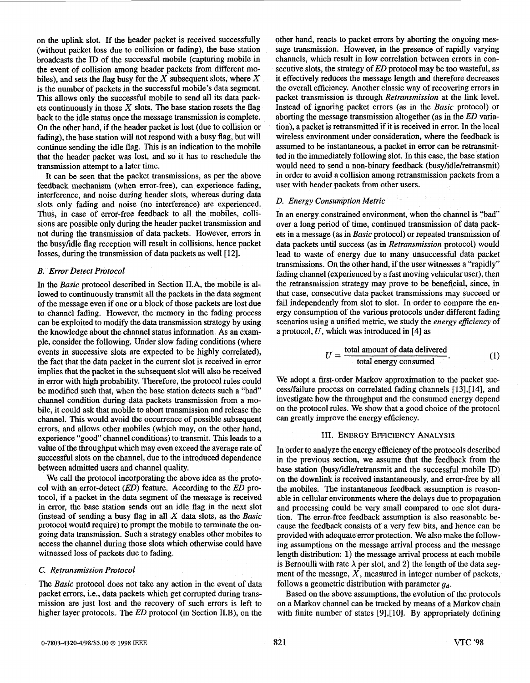on the uplink slot. If the header packet is received successfully (without packet loss due to collision or fading), the base station broadcasts the ID of the successful mobile (capturing mobile in the event of collision among header packets from different mobiles), and sets the flag busy for the  $X$  subsequent slots, where  $X$ is the number of packets in the successful mobile's data segment. This allows only the successful mobile to send all its data packets continuously in those  $X$  slots. The base station resets the flag back to the idle status once the message transmission is complete. On the other hand, if the header packet is lost (due to collision or fading), the base station will not respond with a busy flag, but will continue sending the idle flag. This is an indication to the mobile that the header packet was lost, and so it has to reschedule the transmission attempt to a later time.

It can be seen that the packet transmissions, **as** per the above feedback mechanism (when error-free), can experience fading, interference, and noise during header slots, whereas during data slots only fading and noise (no interference) are experienced. Thus, in case of error-free feedback to all the mobiles, collisions are possible only during the header packet transmission and not during the transmission of data packets. However, errors in the busyhdle flag reception will result in collisions, hence packet losses, during the transmission of data packets **as** well [ 121.

## *B. Error Detect Protocol*

In the *Basic* protocol described in Section II.A, the mobile is allowed to continuously transmit all the packets in the data segment of the message even if one or a block of those packets are lost due to channel fading. However, the memory in the fading process can be exploited to modify the data transmission strategy by using the knowledge about the channel status information. As an example, consider the following. Under slow fading conditions (where events **in** successive slots are expected to be highly correlated), the fact that the data packet in the current slot is received in error implies that the packet in the subsequent slot will also be received in error with high probability. Therefore, the protocol rules could be modified such that, when the base station detects such a "bad" channel condition during data packets transmission from a mobile, it could ask that mobile to abort transmission and release the channel. This would avoid the occurrence of possible subsequent errors, and allows other mobiles (which may, on the other hand, experience "good" channel conditions) to transmit. This leads to a value of the throughput which may even exceed the average rate of successful slots on the channel, due to the introduced dependence between admitted users and channel quality.

We call the protocol incorporating the above idea **as** the protocol with an error-detect (ED) feature. According to the *ED* protocol, if a packet in the data segment of the message is received in error, the base station sends out an idle flag in the next slot (instead of sending a busy flag in all X data slots, as the *Basic*  protocol would require) to prompt the mobile to terminate the ongoing data transmission. Such a strategy enables other mobiles to access the channel during those slots which otherwise could have witnessed loss of packets due to fading.

## *C. Retransmission Protocol*

The *Basic* protocol does not take any action in the event of data packet errors, i.e., data packets which get corrupted during transmission are just lost and the recovery of such errors is left to higher layer protocols. The *ED* protocol (in Section II.B), on the

other hand, reacts to packet errors by aborting the ongoing message transmission. However, in the presence of rapidly varying channels, which result in low correlation between errors in consecutive slots, the strategy of *ED* protocol may be too wasteful, as it effectively reduces the message length and therefore decreases the overall efficiency. Another classic way of recovering errors in packet transmission is through *Retransmission* at the link level. Instead of ignoring packet errors **(as** in the *Basic* protocol) or aborting the message transmission altogether (as in the *ED* variation), a packet is retransmitted if it is received in error. In the local wireless environment under consideration, where the feedback is assumed to be instantaneous, a packet in error can be retransmitted in the immediately following slot. In this case, the base station would need to send a non-binary feedback (busy/idle/retransmit) in order to avoid a collision among retransmission packets from a user with header packets from other users.

## *D. Energy Consumption Metric*

In an energy constrained environment, when the channel is "bad" over a long period of time, continued transmission of data packets in a message **(as** in *Basic* protocol) or repeated transmission of data packets until success **(as** in *Retransmission* protocol) would lead to waste of energy due to many unsuccessful data packet transmissions. On the other hand, if the user witnesses a "rapidly" fading channel (experienced by a fast moving vehicular user), then the retransmission strategy may prove to be beneficial, since, in that case, consecutive data packet transmissions may succeed or fail independently from slot to slot. In order to compare the energy consumption of the various protocols under different fading scenarios using a unified metric, we study the *energy eflciency* of a protocol, U, which was introduced in **[4]** as

$$
U = \frac{\text{total amount of data delivered}}{\text{total energy consumed}}.
$$
 (1)

We adopt a first-order Markov approximation to the packet success/failure process on correlated fading channels [ 13],[ 141, and investigate how the throughput and the consumed energy depend on the protocol rules. We show that a good choice of the protocol can greatly improve the energy efficiency.

## **111.** ENERGY EFFICIENCY ANALYSIS

In order to analyze the energy efficiency of the protocols described in the previous section, we assume that the feedback from the base station (busy/idle/retransmit and the successful mobile ID) on the downlink is received instantaneously, and error-free by all the mobiles. The instantaneous feedback assumption is reasonable in cellular environments where the delays due to propagation and processing could be very small compared to one slot duration. The error-free feedback assumption is also reasonable because the feedback consists of a very few bits, and hence can be provided with adequate error protection. We also make the following assumptions on the message arrival process and the message length distribution: 1) the message arrival process at each mobile is Bernoulli with rate  $\lambda$  per slot, and 2) the length of the data segment of the message,  $X$ , measured in integer number of packets, follows a geometric distribution with parameter *Qd.* 

Based on the above assumptions, the evolution of the protocols on a Markov channel can be tracked by means of a Markov chain with finite number of states [9],[10]. By appropriately defining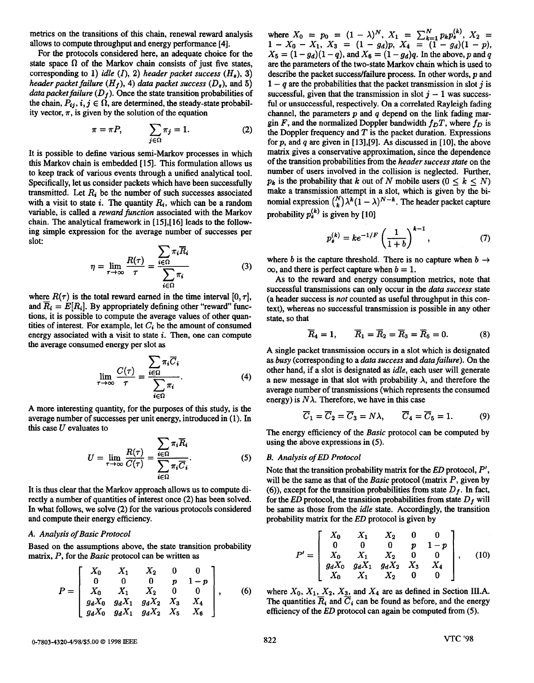metrics on the transitions of this chain, renewal reward analysis allows to compute throughput and energy performance **[4].** 

For the protocols considered here, an adequate choice for the state space  $\Omega$  of the Markov chain consists of just five states, corresponding to 1) *idle* ( $I$ ), 2) *header packet success* ( $H_s$ ), 3) *header packet failure*  $(H_f)$ , 4) *data packet success*  $(D_s)$ , and 5) *data packet failure*  $(D_f)$ . Once the state transition probabilities of the chain,  $P_{ij}$ ,  $i, j \in \Omega$ , are determined, the steady-state probability vector,  $\pi$ , is given by the solution of the equation

$$
\pi = \pi P, \qquad \sum_{j \in \Omega} \pi_j = 1. \tag{2}
$$

It is possible to define various semi-Markov processes in which this Markov chain is embedded **[15].** This formulation allows us to keep track of various events through a unified analytical tool. Specifically, let us consider packets which have been successfully transmitted. Let  $R_i$  be the number of such successes associated with a visit to state *i*. The quantity  $R_i$ , which can be a random variable, is called a *reward function* associated with the Markov chain. The analytical framework in **[15],[16]** leads to the following simple expression for the average number of successes per slot:

$$
\eta = \lim_{\tau \to \infty} \frac{R(\tau)}{\tau} = \frac{\sum_{i \in \Omega} \pi_i \overline{R}_i}{\sum_{i \in \Omega} \pi_i}
$$
(3)

where  $R(\tau)$  is the total reward earned in the time interval  $[0, \tau]$ . and  $\overline{R}_i = E[R_i]$ . By appropriately defining other "reward" functions, it is possible to compute the average values of other quantities of interest. For example, let  $C_i$  be the amount of consumed energy associated with a visit to state *i.* Then, one can compute the average consumed energy per slot **as** 

$$
\lim_{\tau \to \infty} \frac{C(\tau)}{\tau} = \frac{\sum_{i \in \Omega} \pi_i \overline{C}_i}{\sum_{i \in \Omega} \pi_i}.
$$
 (4)

A more interesting quantity, for the purposes of this study, is the average number of successes per unit energy, introduced in **(1).** In this case *U* evaluates to

$$
U = \lim_{\tau \to \infty} \frac{R(\tau)}{C(\tau)} = \frac{\sum_{i \in \Omega} \pi_i \overline{R}_i}{\sum_{i \in \Omega} \pi_i \overline{C}_i}.
$$
 (5)

It is thus clear that the Markov approach allows us to compute directly a number of quantities of interest once (2) has been solved. In what follows, we solve (2) for the various protocols considered and compute their energy efficiency.

#### *A. Analysis of Basic Protocol*

Based on the assumptions above, the state transition probability matrix, P, for the *Basic* protocol can be written **as** 

$$
P = \begin{bmatrix} X_0 & X_1 & X_2 & 0 & 0 \\ 0 & 0 & 0 & p & 1-p \\ X_0 & X_1 & X_2 & 0 & 0 \\ g_dX_0 & g_dX_1 & g_dX_2 & X_3 & X_4 \\ g_dX_0 & g_dX_1 & g_dX_2 & X_5 & X_6 \end{bmatrix},
$$
 (6)

where  $X_0 = p_0 = (1 - \lambda)^N$ ,  $X_1 = \sum_{k=1}^N p_k p_s^{(k)}$ ,  $X_2 =$  $X_5 = (1 - g_d)(1 - q)$ , and  $X_6 = (1 - g_d)q$ . In the above, p and q  $X_5 = (1 - g_d)(1 - q)$ , and  $X_6 = (1 - g_d)q$ . In the above, p and q are the parameters of the two-state Markov chain which is used to describe the packet success/failure process. In other words, p and  $1 - q$  are the probabilities that the packet transmission in slot j is successful, given that the transmission in slot  $i - 1$  was successful or unsuccessful, respectively. On a correlated Rayleigh fading channel, the parameters *p* and *q* depend on the link fading margin *F*, and the normalized Doppler bandwidth  $f_D T$ , where  $f_D$  is the Doppler frequency and  $T$  is the packet duration. Expressions for *p,* and *q* are given in [ **13],[9].** As discussed in **[lo],** the above matrix gives a conservative approximation, since the dependence of the transition probabilities from the *header success state* on the number of users involved in the collision is neglected. Further,  $p_k$  is the probability that *k* out of *N* mobile users  $(0 \leq k \leq N)$ make a transmission attempt in a slot, which is given by the binomial expression  $\binom{N}{k} \lambda^k (1 - \lambda)^{N-k}$ . The header packet capture probability  $p_s^{(k)}$  is given by [10] where  $X_0 = p_0 = (1 - \lambda)^N$ ,  $X_1 = \sum_{k=1}^N p_k p_s^{(k)}$ ,  $X_2 = 1 - X_0 - X_1$ ,  $X_3 = (1 - g_d)p$ ,  $X_4 = (1 - g_d)(1 - p)$ ,

$$
p_s^{(k)} = ke^{-1/F} \left(\frac{1}{1+b}\right)^{k-1},\tag{7}
$$

where b is the capture threshold. There is no capture when  $b \rightarrow$  $\infty$ , and there is perfect capture when  $b = 1$ .

As to the reward and energy consumption metrics, note that successful transmissions can only occur in the *data success* state **(a** header success is *not* counted **as** useful throughput in this context), whereas no successful transmission is possible in any other state, so that t<br>  $\overline{R}_1 = 1$   $\overline{R}_2 = \overline{R}_3 - \overline{R}_2 = \overline{R}_1 - 0$ 

$$
\overline{R}_4 = 1, \qquad \overline{R}_1 = \overline{R}_2 = \overline{R}_3 = \overline{R}_5 = 0. \tag{8}
$$

A single packet transmission occurs in a slot which is designated **as** busy (corresponding to a *data* **success** and *data failure).* On the other hand, if a slot is designated **as** *idle,* each user will generate a new message in that slot with probability  $\lambda$ , and therefore the average number of transmissions (which represents the consumed energy) is *N* $\lambda$ . Therefore, we have in this case<br>  $\overline{C}_1 = \overline{C}_2 = \overline{C}_3 = N\lambda$   $\overline{C}_4 = \overline{C}_5 = 1$ 

$$
\overline{C}_1 = \overline{C}_2 = \overline{C}_3 = N\lambda, \qquad \overline{C}_4 = \overline{C}_5 = 1. \tag{9}
$$

The energy efficiency of the *Basic* protocol can be computed by using the above expressions in *(5).* 

#### *B. Analysis of ED Protocol*

Note that the transition probability matrix for the *ED* protocol, P', will be the same **as** that of the *Basic* protocol (matrix *P,* given by **(6)),** except for the transition probabilities from state *Dj.* In fact, for the *ED* protocol, the transition probabilities from state  $D_f$  will be same **as** those from the *idle* state. Accordingly, the transition probability matrix for the *ED* protocol is given by

$$
P' = \begin{bmatrix} X_0 & X_1 & X_2 & 0 & 0 \\ 0 & 0 & 0 & p & 1-p \\ X_0 & X_1 & X_2 & 0 & 0 \\ g_d X_0 & g_d X_1 & g_d X_2 & X_3 & X_4 \\ X_0 & X_1 & X_2 & 0 & 0 \end{bmatrix}, \quad (10)
$$

where  $X_0$ ,  $X_1$ ,  $X_2$ ,  $X_3$ , and  $X_4$  are as defined in Section III.A. The quantities  $\overline{R}_i$  and  $\overline{C}_i$  can be found as before, and the energy efficiency of the *ED* protocol can again be computed from *(5).*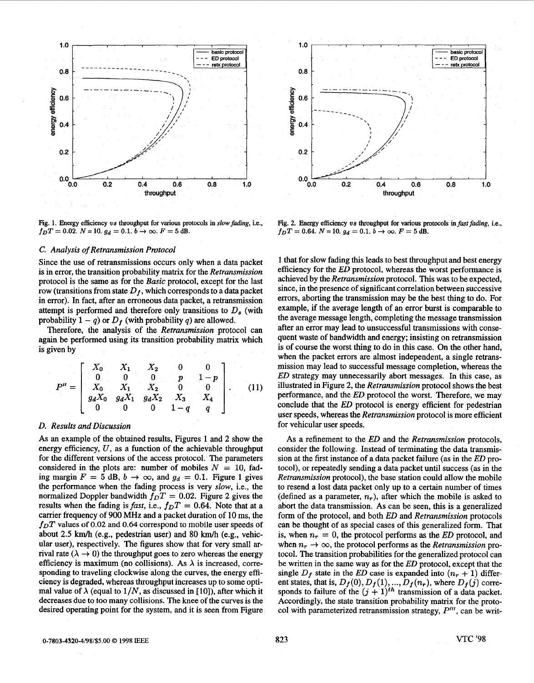

**Fig. 1. Energy efficiency** *vs* **throughput for various protocols in** *slowfading,* **i.e.,**   $f_D T = 0.02$ .  $N = 10$ .  $g_d = 0.1$ .  $b \rightarrow \infty$ .  $F = 5$  dB.

## *C. Analysis of Retransmission Protocol*

Since the use of retransmissions occurs only when a data packet is in error, the transition probability matrix for the *Retransmission*  protocol is the same **as** for the *Basic* protocol, except for the last row (transitions from state  $D_f$ , which corresponds to a data packet in error). In fact, after an erroneous data packet, a retransmission attempt is performed and therefore only transitions to  $D<sub>s</sub>$  (with probability  $1 - q$ ) or  $D_f$  (with probability *q*) are allowed.

Therefore, the analysis of the *Retransmission* protocol can again be performed using its transition probability matrix which is given by

$$
P'' = \left[ \begin{array}{cccc} X_0 & X_1 & X_2 & 0 & 0 \\ 0 & 0 & 0 & p & 1-p \\ X_0 & X_1 & X_2 & 0 & 0 \\ g_d X_0 & g_d X_1 & g_d X_2 & X_3 & X_4 \\ 0 & 0 & 0 & 1-q & q \end{array} \right].
$$
 (11)

## *D. Results and Discussion*

As an example of the obtained results, Figures 1 and 2 show the energy efficiency, *U,* as a function of the achievable throughput for the different versions of the access protocol. The parameters considered in the plots are: number of mobiles  $N = 10$ , fading margin  $F = 5$  dB,  $b \rightarrow \infty$ , and  $g_d = 0.1$ . Figure 1 gives the performance when the fading process is very *slow,* i.e., the normalized Doppler bandwidth  $f<sub>D</sub>T = 0.02$ . Figure 2 gives the results when the fading is *fast*, i.e.,  $f_D T = 0.64$ . Note that at a carrier frequency of *900* MHz and a packet duration of 10 ms, the *fDT* values of 0.02 and **0.64** correspond to mobile user speeds of about 2.5 km/h (e.g., pedestrian user) and 80 km/h (e.g., vehicular user), respectively. The figures show that for very small arrival rate  $(\lambda \rightarrow 0)$  the throughput goes to zero whereas the energy efficiency is maximum (no collisions). As  $\lambda$  is increased, corresponding to traveling clockwise along the curves, the energy efficiency is degraded, whereas throughput increases up to some optimal value of  $\lambda$  (equal to  $1/N$ , as discussed in [10]), after which it decreases due to too many collisions. The knee of the curves is the desired operating point for the system, and it is seen from Figure



Fig. 2. Energy efficiency *vs* throughput for various protocols in *fast fading*, i.e.,  $f_D T = 0.64$ .  $N = 10$ .  $g_d = 0.1$ .  $b \to \infty$ .  $F = 5$  dB.

1 that for slow fading this leads to best throughput and best energy efficiency for the *ED* protocol, whereas the worst performance is achieved by the *Retransmission* protocol. This was to be expected, since, in the presence of significant correlation between successive errors, aborting the transmission may be the best thing to do. For example, if the average length of an error burst is comparable to the average message length, completing the message transmission after an error may lead to unsuccessful transmissions with consequent waste of bandwidth and energy; insisting on retransmission is of course the worst thing **to** do in this case. On the other hand, when the packet errors are almost independent, a single retransmission may lead to successful message completion, whereas the *ED* strategy may unnecessarily abort messages. In this case, as illustrated in Figure 2, the *Retransmission* protocol shows the best performance, and the *ED* protocol the worst. Therefore, we may conclude that the *ED* protocol is energy efficient for pedestrian user speeds, whereas the *Retransmission* protocol is more efficient for vehicular user speeds.

As a refinement to the *ED* and the *Retransmission* protocols, consider the following. Instead of terminating the data transmission at the first instance of a data packet failure (as in the ED protocol), or repeatedly sending a data packet until success **(as** in the *Retransmission* protocol), the base station could allow the mobile to resend a lost data packet only up to a certain number of times (defined as a parameter,  $n_r$ ), after which the mobile is asked to abort the data transmission. As can be seen, this is a generalized form of the protocol, and both *ED* and *Retransmission* protocols can be thought of **as** special cases of this generalized form. That is, when  $n_r = 0$ , the protocol performs as the *ED* protocol, and when  $n_r \rightarrow \infty$ , the protocol performs as the *Retransmission* protocol. The transition probabilities for the generalized protocol can be written in the same way **as** for the *ED* protocol, except that the single  $D_f$  state in the ED case is expanded into  $(n_r + 1)$  different states, that is,  $D_f(0), D_f(1), ..., D_f(n_r)$ , where  $D_f(j)$  corresponds to failure of the  $(j + 1)^{th}$  transmission of a data packet. Accordingly, the state transition probability matrix for the protocol with parameterized retransmission strategy,  $P'''$ , can be writ-